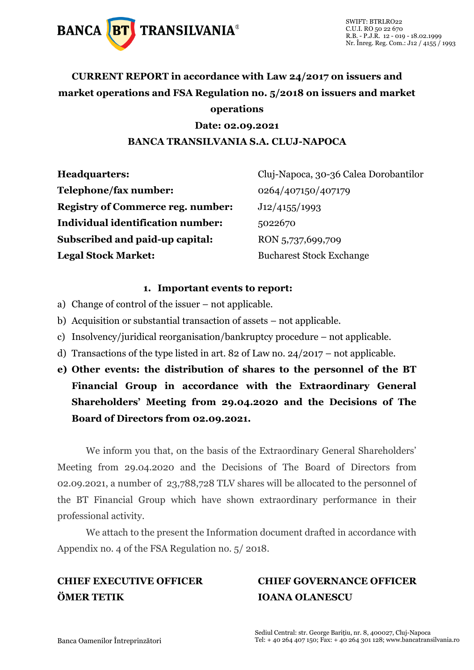

## **CURRENT REPORT in accordance with Law 24/2017 on issuers and market operations and FSA Regulation no. 5/2018 on issuers and market operations**

#### **Date: 02.09.2021 BANCA TRANSILVANIA S.A. CLUJ-NAPOCA**

| Cluj-Napoca, 30-36 Calea Dorobantilor<br><b>Headquarters:</b> |                                 |  |
|---------------------------------------------------------------|---------------------------------|--|
| Telephone/fax number:                                         | 0264/407150/407179              |  |
| <b>Registry of Commerce reg. number:</b>                      | J12/4155/1993                   |  |
| Individual identification number:                             | 5022670                         |  |
| Subscribed and paid-up capital:                               | RON 5,737,699,709               |  |
| <b>Legal Stock Market:</b>                                    | <b>Bucharest Stock Exchange</b> |  |

#### **1. Important events to report:**

- a) Change of control of the issuer not applicable.
- b) Acquisition or substantial transaction of assets not applicable.
- c) Insolvency/juridical reorganisation/bankruptcy procedure not applicable.
- d) Transactions of the type listed in art. 82 of Law no. 24/2017 not applicable.
- **e) Other events: the distribution of shares to the personnel of the BT Financial Group in accordance with the Extraordinary General Shareholders' Meeting from 29.04.2020 and the Decisions of The Board of Directors from 02.09.2021.**

We inform you that, on the basis of the Extraordinary General Shareholders' Meeting from 29.04.2020 and the Decisions of The Board of Directors from 02.09.2021, a number of 23,788,728 TLV shares will be allocated to the personnel of the BT Financial Group which have shown extraordinary performance in their professional activity.

We attach to the present the Information document drafted in accordance with Appendix no. 4 of the FSA Regulation no. 5/ 2018.

## **ÖMER TETIK IOANA OLANESCU**

# **CHIEF EXECUTIVE OFFICER CHIEF GOVERNANCE OFFICER**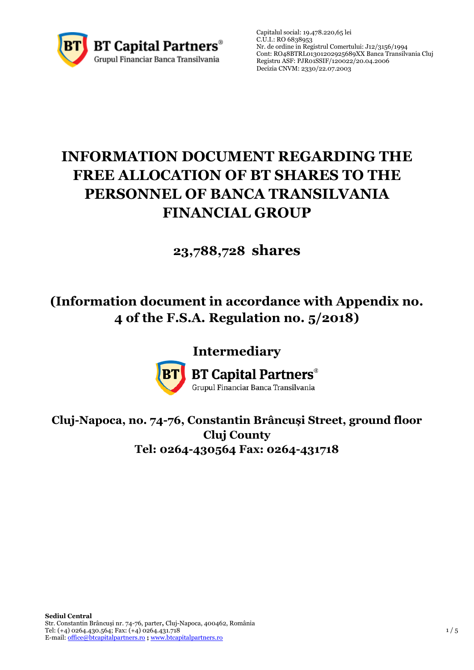

## **INFORMATION DOCUMENT REGARDING THE FREE ALLOCATION OF BT SHARES TO THE PERSONNEL OF BANCA TRANSILVANIA FINANCIAL GROUP**

## **23,788,728 shares**

## **(Information document in accordance with Appendix no. 4 of the F.S.A. Regulation no. 5/2018)**

## **Intermediary**



**BT Capital Partners®** 

Grupul Financiar Banca Transilvania

### **Cluj-Napoca, no. 74-76, Constantin Brâncuși Street, ground floor Cluj County Tel: 0264-430564 Fax: 0264-431718**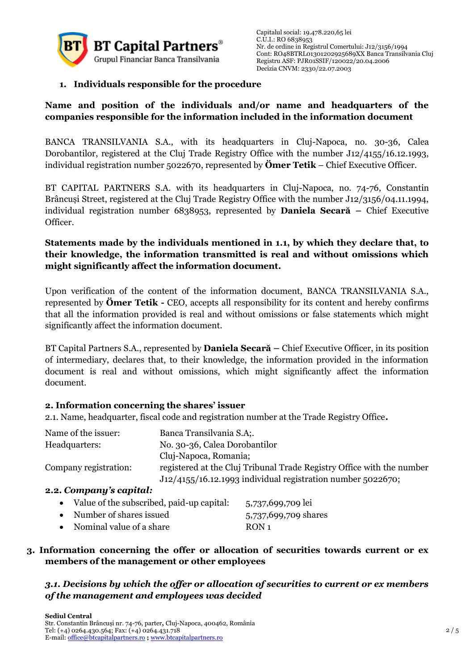

#### **1. Individuals responsible for the procedure**

#### **Name and position of the individuals and/or name and headquarters of the companies responsible for the information included in the information document**

BANCA TRANSILVANIA S.A., with its headquarters in Cluj-Napoca, no. 30-36, Calea Dorobantilor, registered at the Cluj Trade Registry Office with the number J12/4155/16.12.1993, individual registration number 5022670, represented by **Ömer Tetik** – Chief Executive Officer.

BT CAPITAL PARTNERS S.A. with its headquarters in Cluj-Napoca, no. 74-76, Constantin Brâncuși Street, registered at the Cluj Trade Registry Office with the number J12/3156/04.11.1994, individual registration number 6838953, represented by **Daniela Secară –** Chief Executive Officer.

#### **Statements made by the individuals mentioned in 1.1, by which they declare that, to their knowledge, the information transmitted is real and without omissions which might significantly affect the information document.**

Upon verification of the content of the information document, BANCA TRANSILVANIA S.A., represented by **Ömer Tetik -** CEO, accepts all responsibility for its content and hereby confirms that all the information provided is real and without omissions or false statements which might significantly affect the information document.

BT Capital Partners S.A., represented by **Daniela Secară –** Chief Executive Officer, in its position of intermediary, declares that, to their knowledge, the information provided in the information document is real and without omissions, which might significantly affect the information document.

#### **2. Information concerning the shares' issuer**

2.1. Name, headquarter, fiscal code and registration number at the Trade Registry Office**.**

| Name of the issuer:   | Banca Transilvania S.A;                                                                                                                |
|-----------------------|----------------------------------------------------------------------------------------------------------------------------------------|
| Headquarters:         | No. 30-36, Calea Dorobantilor                                                                                                          |
|                       | Cluj-Napoca, Romania;                                                                                                                  |
| Company registration: | registered at the Cluj Tribunal Trade Registry Office with the number<br>$J12/4155/16.12.1993$ individual registration number 5022670; |
|                       |                                                                                                                                        |

#### **2.2.** *Company's capital:*

| • Value of the subscribed, paid-up capital: | 5,737,699,709 lei    |
|---------------------------------------------|----------------------|
| • Number of shares issued                   | 5,737,699,709 shares |
| • Nominal value of a share                  | RON <sub>1</sub>     |

#### **3. Information concerning the offer or allocation of securities towards current or ex members of the management or other employees**

#### *3.1. Decisions by which the offer or allocation of securities to current or ex members of the management and employees was decided*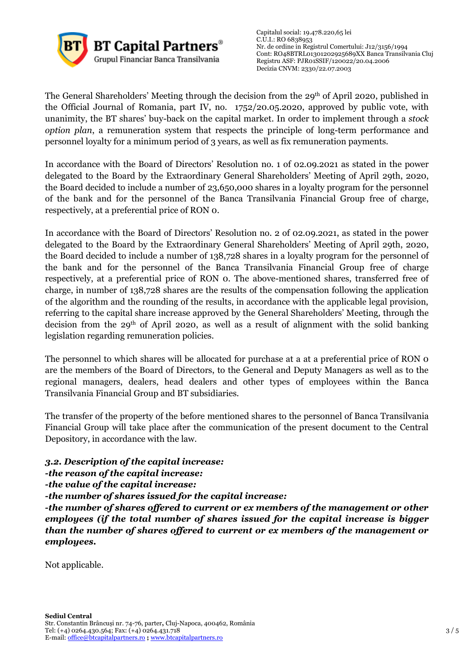

The General Shareholders' Meeting through the decision from the 29<sup>th</sup> of April 2020, published in the Official Journal of Romania, part IV, no. 1752/20.05.2020, approved by public vote, with unanimity, the BT shares' buy-back on the capital market. In order to implement through a *stock option plan*, a remuneration system that respects the principle of long-term performance and personnel loyalty for a minimum period of 3 years, as well as fix remuneration payments.

In accordance with the Board of Directors' Resolution no. 1 of 02.09.2021 as stated in the power delegated to the Board by the Extraordinary General Shareholders' Meeting of April 29th, 2020, the Board decided to include a number of 23,650,000 shares in a loyalty program for the personnel of the bank and for the personnel of the Banca Transilvania Financial Group free of charge, respectively, at a preferential price of RON 0.

In accordance with the Board of Directors' Resolution no. 2 of 02.09.2021, as stated in the power delegated to the Board by the Extraordinary General Shareholders' Meeting of April 29th, 2020, the Board decided to include a number of 138,728 shares in a loyalty program for the personnel of the bank and for the personnel of the Banca Transilvania Financial Group free of charge respectively, at a preferential price of RON 0. The above-mentioned shares, transferred free of charge, in number of 138,728 shares are the results of the compensation following the application of the algorithm and the rounding of the results, in accordance with the applicable legal provision, referring to the capital share increase approved by the General Shareholders' Meeting, through the decision from the 29th of April 2020, as well as a result of alignment with the solid banking legislation regarding remuneration policies.

The personnel to which shares will be allocated for purchase at a at a preferential price of RON 0 are the members of the Board of Directors, to the General and Deputy Managers as well as to the regional managers, dealers, head dealers and other types of employees within the Banca Transilvania Financial Group and BT subsidiaries.

The transfer of the property of the before mentioned shares to the personnel of Banca Transilvania Financial Group will take place after the communication of the present document to the Central Depository, in accordance with the law.

#### *3.2. Description of the capital increase:*

*-the reason of the capital increase:*

*-the value of the capital increase:* 

*-the number of shares issued for the capital increase:*

*-the number of shares offered to current or ex members of the management or other employees (if the total number of shares issued for the capital increase is bigger than the number of shares offered to current or ex members of the management or employees.* 

Not applicable.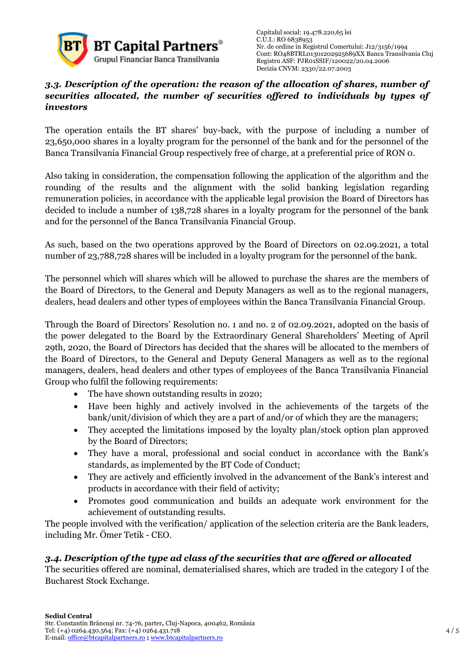

#### *3.3. Description of the operation: the reason of the allocation of shares, number of securities allocated, the number of securities offered to individuals by types of investors*

The operation entails the BT shares' buy-back, with the purpose of including a number of 23,650,000 shares in a loyalty program for the personnel of the bank and for the personnel of the Banca Transilvania Financial Group respectively free of charge, at a preferential price of RON 0.

Also taking in consideration, the compensation following the application of the algorithm and the rounding of the results and the alignment with the solid banking legislation regarding remuneration policies, in accordance with the applicable legal provision the Board of Directors has decided to include a number of 138,728 shares in a loyalty program for the personnel of the bank and for the personnel of the Banca Transilvania Financial Group.

As such, based on the two operations approved by the Board of Directors on 02.09.2021, a total number of 23,788,728 shares will be included in a loyalty program for the personnel of the bank.

The personnel which will shares which will be allowed to purchase the shares are the members of the Board of Directors, to the General and Deputy Managers as well as to the regional managers, dealers, head dealers and other types of employees within the Banca Transilvania Financial Group.

Through the Board of Directors' Resolution no. 1 and no. 2 of 02.09.2021, adopted on the basis of the power delegated to the Board by the Extraordinary General Shareholders' Meeting of April 29th, 2020, the Board of Directors has decided that the shares will be allocated to the members of the Board of Directors, to the General and Deputy General Managers as well as to the regional managers, dealers, head dealers and other types of employees of the Banca Transilvania Financial Group who fulfil the following requirements:

- The have shown outstanding results in 2020;
- Have been highly and actively involved in the achievements of the targets of the bank/unit/division of which they are a part of and/or of which they are the managers;
- They accepted the limitations imposed by the loyalty plan/stock option plan approved by the Board of Directors;
- They have a moral, professional and social conduct in accordance with the Bank's standards, as implemented by the BT Code of Conduct;
- They are actively and efficiently involved in the advancement of the Bank's interest and products in accordance with their field of activity;
- Promotes good communication and builds an adequate work environment for the achievement of outstanding results.

The people involved with the verification/ application of the selection criteria are the Bank leaders, including Mr. Ömer Tetik - CEO.

#### *3.4. Description of the type ad class of the securities that are offered or allocated*

The securities offered are nominal, dematerialised shares, which are traded in the category I of the Bucharest Stock Exchange.